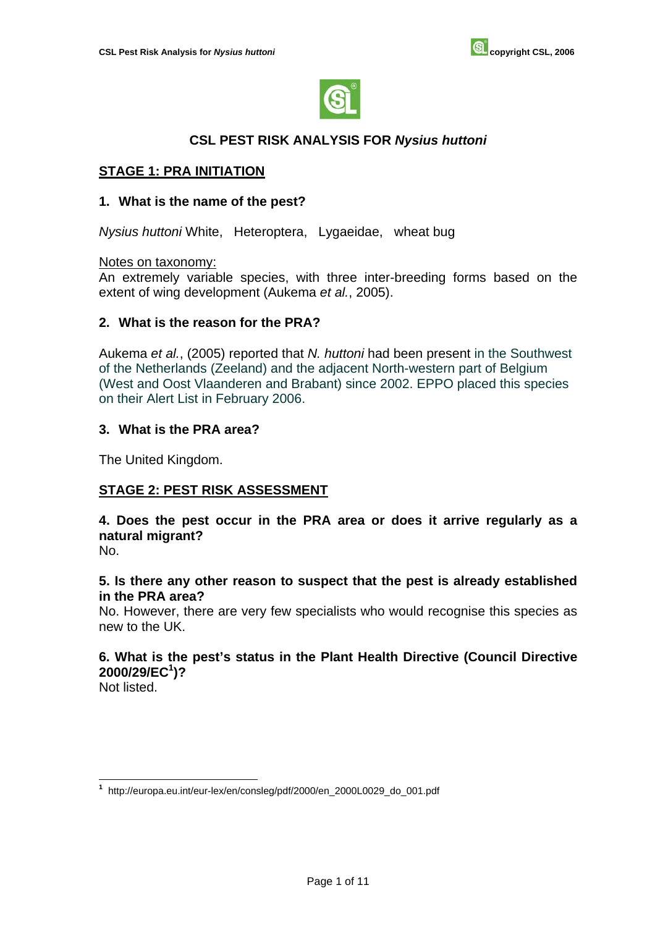

## **CSL PEST RISK ANALYSIS FOR** *Nysius huttoni*

## **STAGE 1: PRA INITIATION**

#### **1. What is the name of the pest?**

*Nysius huttoni* White, Heteroptera, Lygaeidae, wheat bug

#### Notes on taxonomy:

An extremely variable species, with three inter-breeding forms based on the extent of wing development (Aukema *et al.*, 2005).

### **2. What is the reason for the PRA?**

Aukema *et al.*, (2005) reported that *N. huttoni* had been present in the Southwest of the Netherlands (Zeeland) and the adjacent North-western part of Belgium (West and Oost Vlaanderen and Brabant) since 2002. EPPO placed this species on their Alert List in February 2006.

#### **3. What is the PRA area?**

The United Kingdom.

## **STAGE 2: PEST RISK ASSESSMENT**

**4. Does the pest occur in the PRA area or does it arrive regularly as a natural migrant?**

No.

#### **5. Is there any other reason to suspect that the pest is already established in the PRA area?**

No. However, there are very few specialists who would recognise this species as new to the UK.

# **6. What is the pest's status in the Plant Health Directive (Council Directive 2000/29/EC1 )?**

Not listed.

 $\overline{a}$ **<sup>1</sup>** http://europa.eu.int/eur-lex/en/consleg/pdf/2000/en\_2000L0029\_do\_001.pdf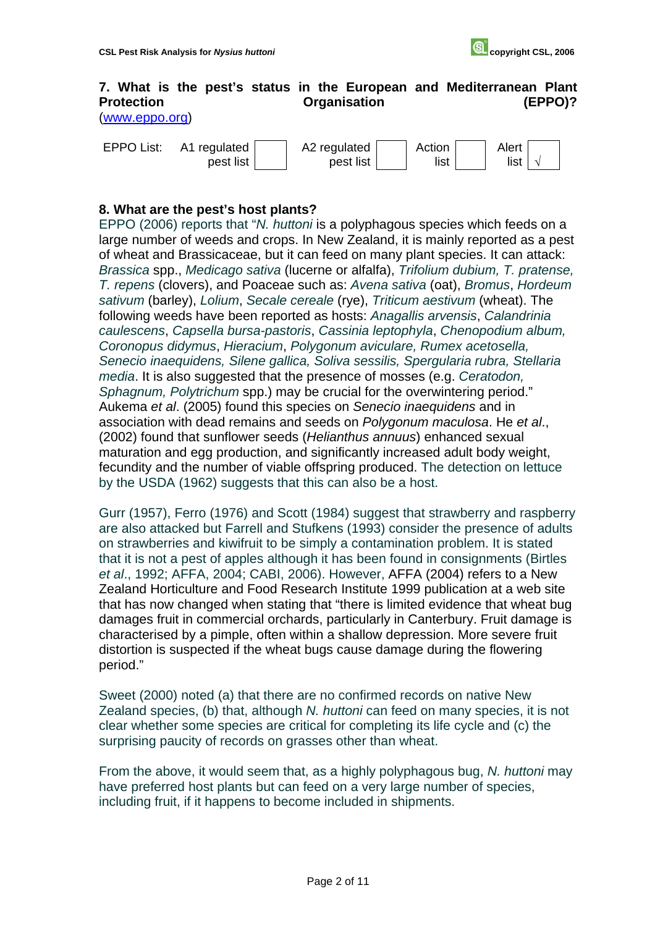## **7. What is the pest's status in the European and Mediterranean Plant**  Protection **Construction Construction Construction CEPPO**)?

[\(www.eppo.org\)](http://www.eppo.org) 

| <b>EPPO List:</b> | A1 regulated | A2 regulated | Action | Alert |  |
|-------------------|--------------|--------------|--------|-------|--|
|                   | pest list    | pest list    | list   | list  |  |

### **8. What are the pest's host plants?**

EPPO (2006) reports that "*N. huttoni* is a polyphagous species which feeds on a large number of weeds and crops. In New Zealand, it is mainly reported as a pest of wheat and Brassicaceae, but it can feed on many plant species. It can attack: *Brassica* spp., *Medicago sativa* (lucerne or alfalfa), *Trifolium dubium, T. pratense, T. repens* (clovers), and Poaceae such as: *Avena sativa* (oat), *Bromus*, *Hordeum sativum* (barley), *Lolium*, *Secale cereale* (rye), *Triticum aestivum* (wheat). The following weeds have been reported as hosts: *Anagallis arvensis*, *Calandrinia caulescens*, *Capsella bursa-pastoris*, *Cassinia leptophyla*, *Chenopodium album, Coronopus didymus*, *Hieracium*, *Polygonum aviculare, Rumex acetosella, Senecio inaequidens, Silene gallica, Soliva sessilis, Spergularia rubra, Stellaria media*. It is also suggested that the presence of mosses (e.g. *Ceratodon, Sphagnum, Polytrichum* spp.) may be crucial for the overwintering period." Aukema *et al*. (2005) found this species on *Senecio inaequidens* and in association with dead remains and seeds on *Polygonum maculosa*. He *et al*., (2002) found that sunflower seeds (*Helianthus annuus*) enhanced sexual maturation and egg production, and significantly increased adult body weight, fecundity and the number of viable offspring produced. The detection on lettuce by the USDA (1962) suggests that this can also be a host.

Gurr (1957), Ferro (1976) and Scott (1984) suggest that strawberry and raspberry are also attacked but Farrell and Stufkens (1993) consider the presence of adults on strawberries and kiwifruit to be simply a contamination problem. It is stated that it is not a pest of apples although it has been found in consignments (Birtles *et al*., 1992; AFFA, 2004; CABI, 2006). However, AFFA (2004) refers to a New Zealand Horticulture and Food Research Institute 1999 publication at a web site that has now changed when stating that "there is limited evidence that wheat bug damages fruit in commercial orchards, particularly in Canterbury. Fruit damage is characterised by a pimple, often within a shallow depression. More severe fruit distortion is suspected if the wheat bugs cause damage during the flowering period."

Sweet (2000) noted (a) that there are no confirmed records on native New Zealand species, (b) that, although *N. huttoni* can feed on many species, it is not clear whether some species are critical for completing its life cycle and (c) the surprising paucity of records on grasses other than wheat.

From the above, it would seem that, as a highly polyphagous bug, *N. huttoni* may have preferred host plants but can feed on a very large number of species, including fruit, if it happens to become included in shipments.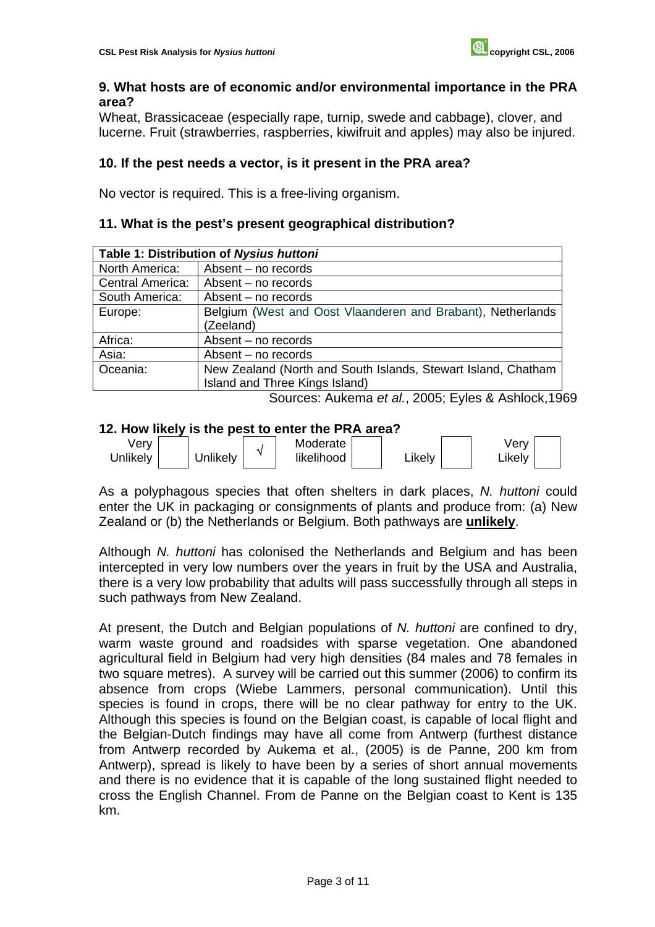## **9. What hosts are of economic and/or environmental importance in the PRA area?**

Wheat, Brassicaceae (especially rape, turnip, swede and cabbage), clover, and lucerne. Fruit (strawberries, raspberries, kiwifruit and apples) may also be injured.

## **10. If the pest needs a vector, is it present in the PRA area?**

No vector is required. This is a free-living organism.

## **11. What is the pest's present geographical distribution?**

| Table 1: Distribution of Nysius huttoni |                                                               |  |  |  |
|-----------------------------------------|---------------------------------------------------------------|--|--|--|
| North America:                          | Absent - no records                                           |  |  |  |
| <b>Central America:</b>                 | Absent – no records                                           |  |  |  |
| South America:                          | Absent – no records                                           |  |  |  |
| Europe:                                 | Belgium (West and Oost Vlaanderen and Brabant), Netherlands   |  |  |  |
|                                         | (Zeeland)                                                     |  |  |  |
| Africa:                                 | Absent - no records                                           |  |  |  |
| Asia:                                   | Absent – no records                                           |  |  |  |
| Oceania:                                | New Zealand (North and South Islands, Stewart Island, Chatham |  |  |  |
|                                         | Island and Three Kings Island)                                |  |  |  |

Sources: Aukema *et al.*, 2005; Eyles & Ashlock,1969

## **12. How likely is the pest to enter the PRA area?**



As a polyphagous species that often shelters in dark places, *N. huttoni* could enter the UK in packaging or consignments of plants and produce from: (a) New Zealand or (b) the Netherlands or Belgium. Both pathways are **unlikely**.

Although *N. huttoni* has colonised the Netherlands and Belgium and has been intercepted in very low numbers over the years in fruit by the USA and Australia, there is a very low probability that adults will pass successfully through all steps in such pathways from New Zealand.

At present, the Dutch and Belgian populations of *N. huttoni* are confined to dry, warm waste ground and roadsides with sparse vegetation. One abandoned agricultural field in Belgium had very high densities (84 males and 78 females in two square metres). A survey will be carried out this summer (2006) to confirm its absence from crops (Wiebe Lammers, personal communication). Until this species is found in crops, there will be no clear pathway for entry to the UK. Although this species is found on the Belgian coast, is capable of local flight and the Belgian-Dutch findings may have all come from Antwerp (furthest distance from Antwerp recorded by Aukema et al., (2005) is de Panne, 200 km from Antwerp), spread is likely to have been by a series of short annual movements and there is no evidence that it is capable of the long sustained flight needed to cross the English Channel. From de Panne on the Belgian coast to Kent is 135 km.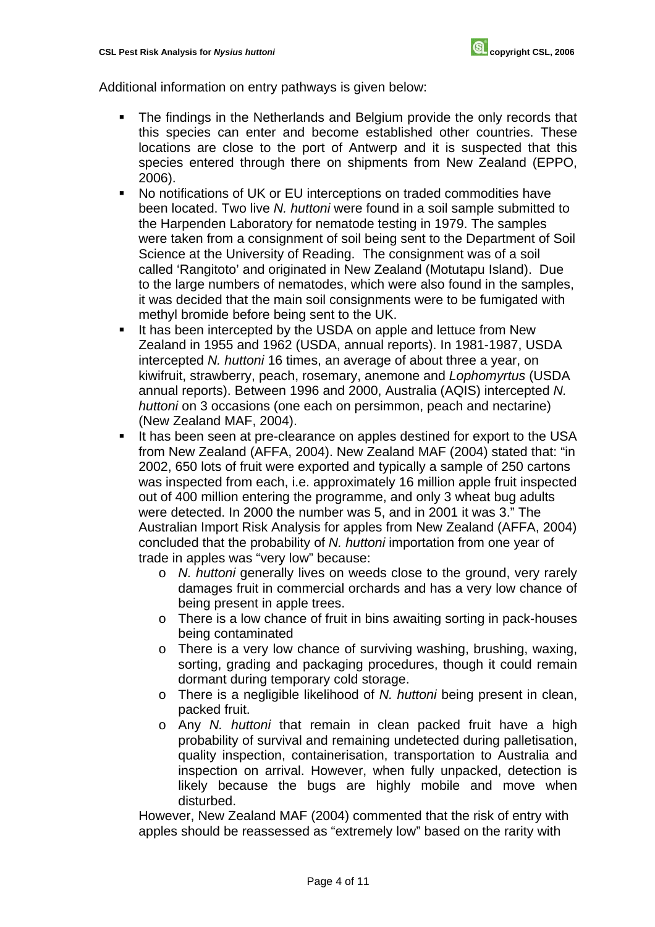Additional information on entry pathways is given below:

- The findings in the Netherlands and Belgium provide the only records that this species can enter and become established other countries. These locations are close to the port of Antwerp and it is suspected that this species entered through there on shipments from New Zealand (EPPO, 2006).
- No notifications of UK or EU interceptions on traded commodities have been located. Two live *N. huttoni* were found in a soil sample submitted to the Harpenden Laboratory for nematode testing in 1979. The samples were taken from a consignment of soil being sent to the Department of Soil Science at the University of Reading. The consignment was of a soil called 'Rangitoto' and originated in New Zealand (Motutapu Island). Due to the large numbers of nematodes, which were also found in the samples, it was decided that the main soil consignments were to be fumigated with methyl bromide before being sent to the UK.
- It has been intercepted by the USDA on apple and lettuce from New Zealand in 1955 and 1962 (USDA, annual reports). In 1981-1987, USDA intercepted *N. huttoni* 16 times, an average of about three a year, on kiwifruit, strawberry, peach, rosemary, anemone and *Lophomyrtus* (USDA annual reports). Between 1996 and 2000, Australia (AQIS) intercepted *N. huttoni* on 3 occasions (one each on persimmon, peach and nectarine) (New Zealand MAF, 2004).
- It has been seen at pre-clearance on apples destined for export to the USA from New Zealand (AFFA, 2004). New Zealand MAF (2004) stated that: "in 2002, 650 lots of fruit were exported and typically a sample of 250 cartons was inspected from each, i.e. approximately 16 million apple fruit inspected out of 400 million entering the programme, and only 3 wheat bug adults were detected. In 2000 the number was 5, and in 2001 it was 3." The Australian Import Risk Analysis for apples from New Zealand (AFFA, 2004) concluded that the probability of *N. huttoni* importation from one year of trade in apples was "very low" because:
	- o *N. huttoni* generally lives on weeds close to the ground, very rarely damages fruit in commercial orchards and has a very low chance of being present in apple trees.
	- o There is a low chance of fruit in bins awaiting sorting in pack-houses being contaminated
	- o There is a very low chance of surviving washing, brushing, waxing, sorting, grading and packaging procedures, though it could remain dormant during temporary cold storage.
	- o There is a negligible likelihood of *N. huttoni* being present in clean, packed fruit.
	- o Any *N. huttoni* that remain in clean packed fruit have a high probability of survival and remaining undetected during palletisation, quality inspection, containerisation, transportation to Australia and inspection on arrival. However, when fully unpacked, detection is likely because the bugs are highly mobile and move when disturbed.

However, New Zealand MAF (2004) commented that the risk of entry with apples should be reassessed as "extremely low" based on the rarity with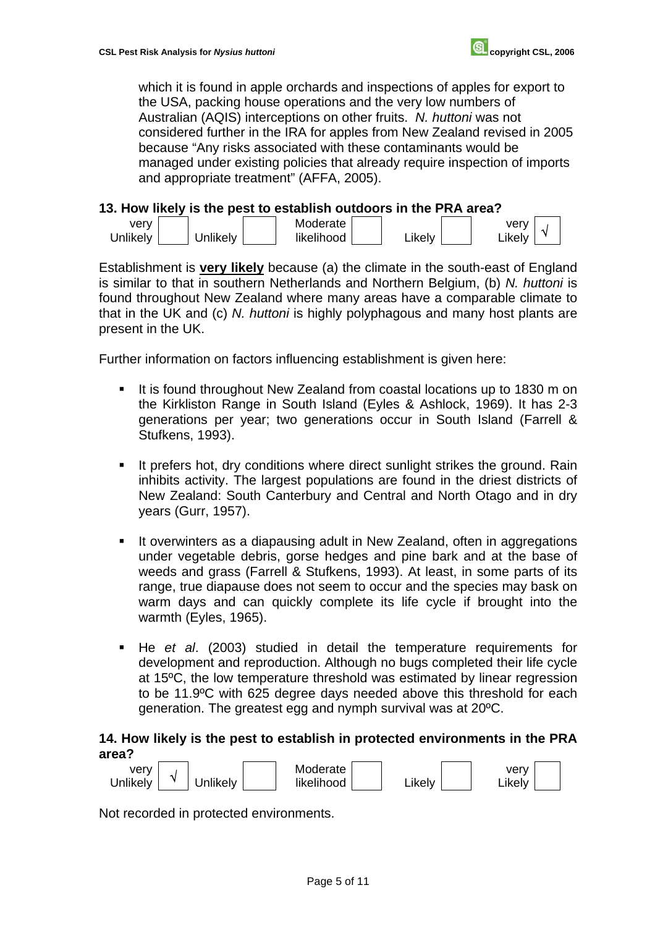which it is found in apple orchards and inspections of apples for export to the USA, packing house operations and the very low numbers of Australian (AQIS) interceptions on other fruits. *N. huttoni* was not considered further in the IRA for apples from New Zealand revised in 2005 because "Any risks associated with these contaminants would be managed under existing policies that already require inspection of imports and appropriate treatment" (AFFA, 2005).

#### **13. How likely is the pest to establish outdoors in the PRA area?**



Establishment is **very likely** because (a) the climate in the south-east of England is similar to that in southern Netherlands and Northern Belgium, (b) *N. huttoni* is found throughout New Zealand where many areas have a comparable climate to that in the UK and (c) *N. huttoni* is highly polyphagous and many host plants are present in the UK.

Further information on factors influencing establishment is given here:

- It is found throughout New Zealand from coastal locations up to 1830 m on the Kirkliston Range in South Island (Eyles & Ashlock, 1969). It has 2-3 generations per year; two generations occur in South Island (Farrell & Stufkens, 1993).
- It prefers hot, dry conditions where direct sunlight strikes the ground. Rain inhibits activity. The largest populations are found in the driest districts of New Zealand: South Canterbury and Central and North Otago and in dry years (Gurr, 1957).
- It overwinters as a diapausing adult in New Zealand, often in aggregations under vegetable debris, gorse hedges and pine bark and at the base of weeds and grass (Farrell & Stufkens, 1993). At least, in some parts of its range, true diapause does not seem to occur and the species may bask on warm days and can quickly complete its life cycle if brought into the warmth (Eyles, 1965).
- He *et al*. (2003) studied in detail the temperature requirements for development and reproduction. Although no bugs completed their life cycle at 15ºC, the low temperature threshold was estimated by linear regression to be 11.9ºC with 625 degree days needed above this threshold for each generation. The greatest egg and nymph survival was at 20ºC.

### **14. How likely is the pest to establish in protected environments in the PRA area?**



Not recorded in protected environments.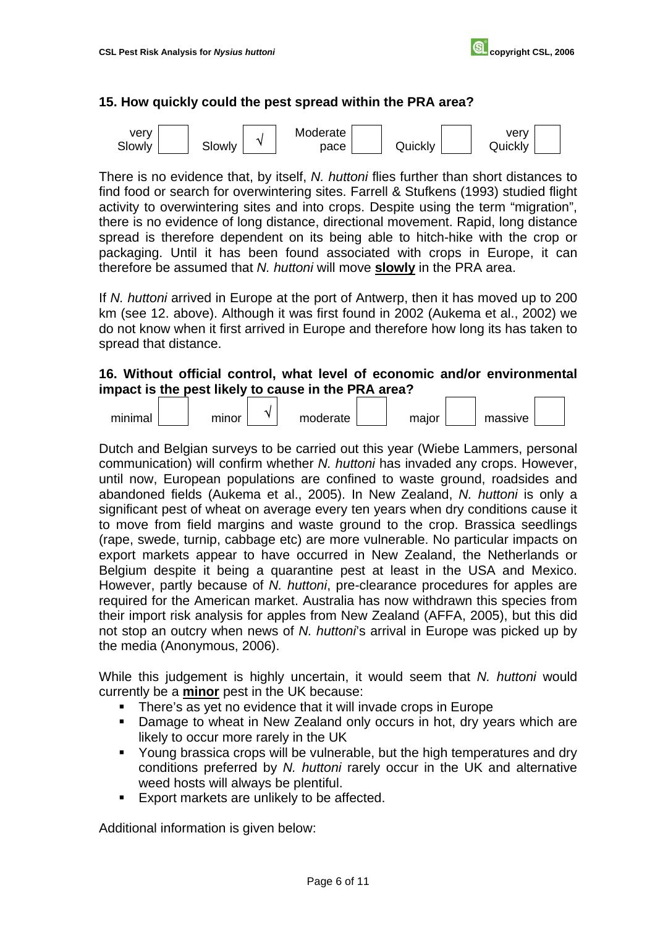### **15. How quickly could the pest spread within the PRA area?**



There is no evidence that, by itself, *N. huttoni* flies further than short distances to find food or search for overwintering sites. Farrell & Stufkens (1993) studied flight activity to overwintering sites and into crops. Despite using the term "migration", there is no evidence of long distance, directional movement. Rapid, long distance spread is therefore dependent on its being able to hitch-hike with the crop or packaging. Until it has been found associated with crops in Europe, it can therefore be assumed that *N. huttoni* will move **slowly** in the PRA area.

If *N. huttoni* arrived in Europe at the port of Antwerp, then it has moved up to 200 km (see 12. above). Although it was first found in 2002 (Aukema et al., 2002) we do not know when it first arrived in Europe and therefore how long its has taken to spread that distance.

### **16. Without official control, what level of economic and/or environmental impact is the pest likely to cause in the PRA area?**



Dutch and Belgian surveys to be carried out this year (Wiebe Lammers, personal communication) will confirm whether *N. huttoni* has invaded any crops. However, until now, European populations are confined to waste ground, roadsides and abandoned fields (Aukema et al., 2005). In New Zealand, *N. huttoni* is only a significant pest of wheat on average every ten years when dry conditions cause it to move from field margins and waste ground to the crop. Brassica seedlings (rape, swede, turnip, cabbage etc) are more vulnerable. No particular impacts on export markets appear to have occurred in New Zealand, the Netherlands or Belgium despite it being a quarantine pest at least in the USA and Mexico. However, partly because of *N. huttoni*, pre-clearance procedures for apples are required for the American market. Australia has now withdrawn this species from their import risk analysis for apples from New Zealand (AFFA, 2005), but this did not stop an outcry when news of *N. huttoni*'s arrival in Europe was picked up by the media (Anonymous, 2006).

While this judgement is highly uncertain, it would seem that *N. huttoni* would currently be a **minor** pest in the UK because:

- There's as yet no evidence that it will invade crops in Europe
- **Damage to wheat in New Zealand only occurs in hot, dry years which are** likely to occur more rarely in the UK
- Young brassica crops will be vulnerable, but the high temperatures and dry conditions preferred by *N. huttoni* rarely occur in the UK and alternative weed hosts will always be plentiful.
- Export markets are unlikely to be affected.

Additional information is given below: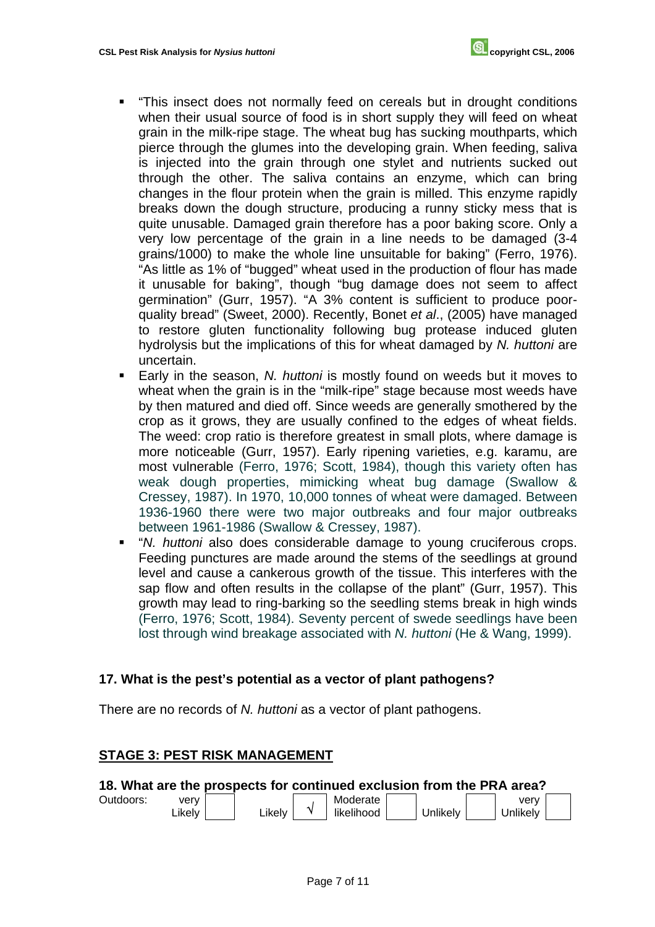- "This insect does not normally feed on cereals but in drought conditions when their usual source of food is in short supply they will feed on wheat grain in the milk-ripe stage. The wheat bug has sucking mouthparts, which pierce through the glumes into the developing grain. When feeding, saliva is injected into the grain through one stylet and nutrients sucked out through the other. The saliva contains an enzyme, which can bring changes in the flour protein when the grain is milled. This enzyme rapidly breaks down the dough structure, producing a runny sticky mess that is quite unusable. Damaged grain therefore has a poor baking score. Only a very low percentage of the grain in a line needs to be damaged (3-4 grains/1000) to make the whole line unsuitable for baking" (Ferro, 1976). "As little as 1% of "bugged" wheat used in the production of flour has made it unusable for baking", though "bug damage does not seem to affect germination" (Gurr, 1957). "A 3% content is sufficient to produce poorquality bread" (Sweet, 2000). Recently, Bonet *et al*., (2005) have managed to restore gluten functionality following bug protease induced gluten hydrolysis but the implications of this for wheat damaged by *N. huttoni* are uncertain.
- Early in the season, *N. huttoni* is mostly found on weeds but it moves to wheat when the grain is in the "milk-ripe" stage because most weeds have by then matured and died off. Since weeds are generally smothered by the crop as it grows, they are usually confined to the edges of wheat fields. The weed: crop ratio is therefore greatest in small plots, where damage is more noticeable (Gurr, 1957). Early ripening varieties, e.g. karamu, are most vulnerable (Ferro, 1976; Scott, 1984), though this variety often has weak dough properties, mimicking wheat bug damage (Swallow & Cressey, 1987). In 1970, 10,000 tonnes of wheat were damaged. Between 1936-1960 there were two major outbreaks and four major outbreaks between 1961-1986 (Swallow & Cressey, 1987).
- "*N. huttoni* also does considerable damage to young cruciferous crops. Feeding punctures are made around the stems of the seedlings at ground level and cause a cankerous growth of the tissue. This interferes with the sap flow and often results in the collapse of the plant" (Gurr, 1957). This growth may lead to ring-barking so the seedling stems break in high winds (Ferro, 1976; Scott, 1984). Seventy percent of swede seedlings have been lost through wind breakage associated with *N. huttoni* (He & Wang, 1999).

## **17. What is the pest's potential as a vector of plant pathogens?**

There are no records of *N. huttoni* as a vector of plant pathogens.

## **STAGE 3: PEST RISK MANAGEMENT**

## **18. What are the prospects for continued exclusion from the PRA area?**

| Outdoors: | verv    |       | Moderate   |          | verv     |  |
|-----------|---------|-------|------------|----------|----------|--|
|           | ∟ikelv⊹ | ikelv | likelihood | Jnlikely | Jnlikelv |  |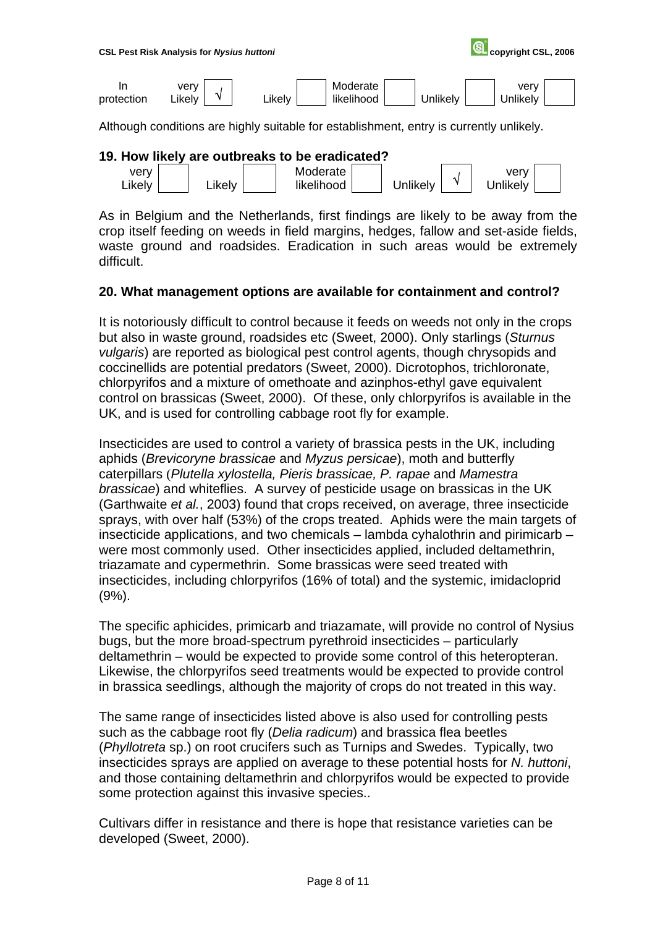

Although conditions are highly suitable for establishment, entry is currently unlikely.

#### **19. How likely are outbreaks to be eradicated?**



As in Belgium and the Netherlands, first findings are likely to be away from the crop itself feeding on weeds in field margins, hedges, fallow and set-aside fields, waste ground and roadsides. Eradication in such areas would be extremely difficult.

#### **20. What management options are available for containment and control?**

It is notoriously difficult to control because it feeds on weeds not only in the crops but also in waste ground, roadsides etc (Sweet, 2000). Only starlings (*Sturnus vulgaris*) are reported as biological pest control agents, though chrysopids and coccinellids are potential predators (Sweet, 2000). Dicrotophos, trichloronate, chlorpyrifos and a mixture of omethoate and azinphos-ethyl gave equivalent control on brassicas (Sweet, 2000). Of these, only chlorpyrifos is available in the UK, and is used for controlling cabbage root fly for example.

Insecticides are used to control a variety of brassica pests in the UK, including aphids (*Brevicoryne brassicae* and *Myzus persicae*), moth and butterfly caterpillars (*Plutella xylostella, Pieris brassicae, P. rapae* and *Mamestra brassicae*) and whiteflies. A survey of pesticide usage on brassicas in the UK (Garthwaite *et al.*, 2003) found that crops received, on average, three insecticide sprays, with over half (53%) of the crops treated. Aphids were the main targets of insecticide applications, and two chemicals – lambda cyhalothrin and pirimicarb – were most commonly used. Other insecticides applied, included deltamethrin, triazamate and cypermethrin. Some brassicas were seed treated with insecticides, including chlorpyrifos (16% of total) and the systemic, imidacloprid (9%).

The specific aphicides, primicarb and triazamate, will provide no control of Nysius bugs, but the more broad-spectrum pyrethroid insecticides – particularly deltamethrin – would be expected to provide some control of this heteropteran. Likewise, the chlorpyrifos seed treatments would be expected to provide control in brassica seedlings, although the majority of crops do not treated in this way.

The same range of insecticides listed above is also used for controlling pests such as the cabbage root fly (*Delia radicum*) and brassica flea beetles (*Phyllotreta* sp.) on root crucifers such as Turnips and Swedes. Typically, two insecticides sprays are applied on average to these potential hosts for *N. huttoni*, and those containing deltamethrin and chlorpyrifos would be expected to provide some protection against this invasive species..

Cultivars differ in resistance and there is hope that resistance varieties can be developed (Sweet, 2000).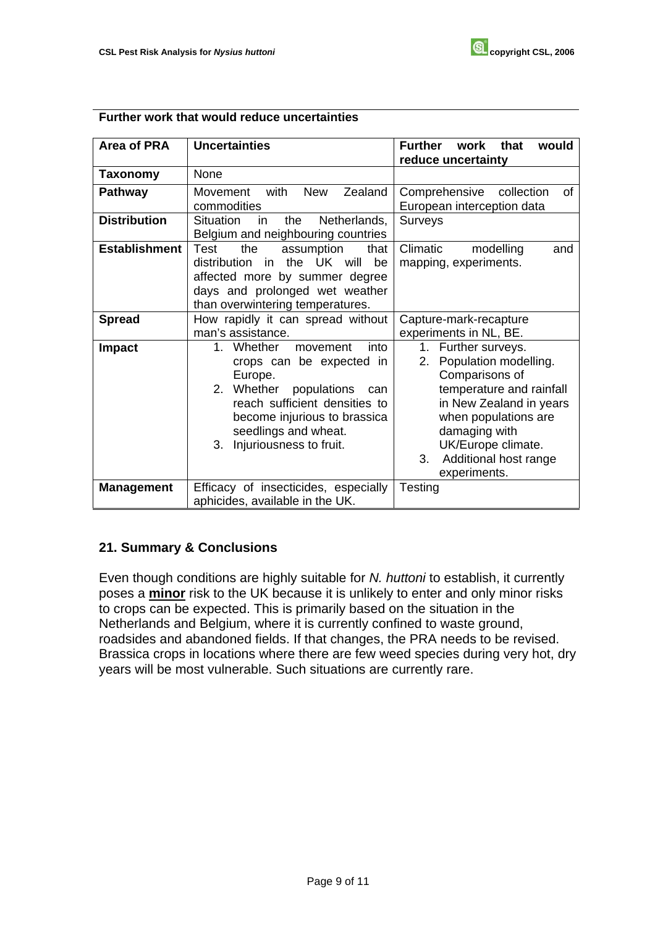| Area of PRA          | <b>Uncertainties</b>                                                                                                                                                                                                                            | <b>Further</b><br>work<br>that<br>would<br>reduce uncertainty                                                                                                                                                                             |  |  |  |  |
|----------------------|-------------------------------------------------------------------------------------------------------------------------------------------------------------------------------------------------------------------------------------------------|-------------------------------------------------------------------------------------------------------------------------------------------------------------------------------------------------------------------------------------------|--|--|--|--|
| Taxonomy             | None                                                                                                                                                                                                                                            |                                                                                                                                                                                                                                           |  |  |  |  |
| <b>Pathway</b>       | with<br>Zealand<br><b>New</b><br>Movement<br>commodities                                                                                                                                                                                        | Comprehensive<br>collection<br>of<br>European interception data                                                                                                                                                                           |  |  |  |  |
| <b>Distribution</b>  | Netherlands,<br><b>Situation</b><br>the<br>in<br>Belgium and neighbouring countries                                                                                                                                                             | Surveys                                                                                                                                                                                                                                   |  |  |  |  |
| <b>Establishment</b> | Test<br>the<br>assumption<br>that<br>in the UK will<br>distribution<br>be<br>affected more by summer degree<br>days and prolonged wet weather<br>than overwintering temperatures.                                                               | Climatic<br>modelling<br>and<br>mapping, experiments.                                                                                                                                                                                     |  |  |  |  |
| <b>Spread</b>        | How rapidly it can spread without<br>man's assistance.                                                                                                                                                                                          | Capture-mark-recapture<br>experiments in NL, BE.                                                                                                                                                                                          |  |  |  |  |
| Impact               | 1 <sup>1</sup><br>Whether<br>into<br>movement<br>crops can be expected in<br>Europe.<br>2. Whether populations<br>can<br>reach sufficient densities to<br>become injurious to brassica<br>seedlings and wheat.<br>Injuriousness to fruit.<br>3. | 1. Further surveys.<br>Population modelling.<br>2.<br>Comparisons of<br>temperature and rainfall<br>in New Zealand in years<br>when populations are<br>damaging with<br>UK/Europe climate.<br>Additional host range<br>3.<br>experiments. |  |  |  |  |
| <b>Management</b>    | Efficacy of insecticides, especially<br>aphicides, available in the UK.                                                                                                                                                                         | <b>Testing</b>                                                                                                                                                                                                                            |  |  |  |  |

### **Further work that would reduce uncertainties**

## **21. Summary & Conclusions**

Even though conditions are highly suitable for *N. huttoni* to establish, it currently poses a **minor** risk to the UK because it is unlikely to enter and only minor risks to crops can be expected. This is primarily based on the situation in the Netherlands and Belgium, where it is currently confined to waste ground, roadsides and abandoned fields. If that changes, the PRA needs to be revised. Brassica crops in locations where there are few weed species during very hot, dry years will be most vulnerable. Such situations are currently rare.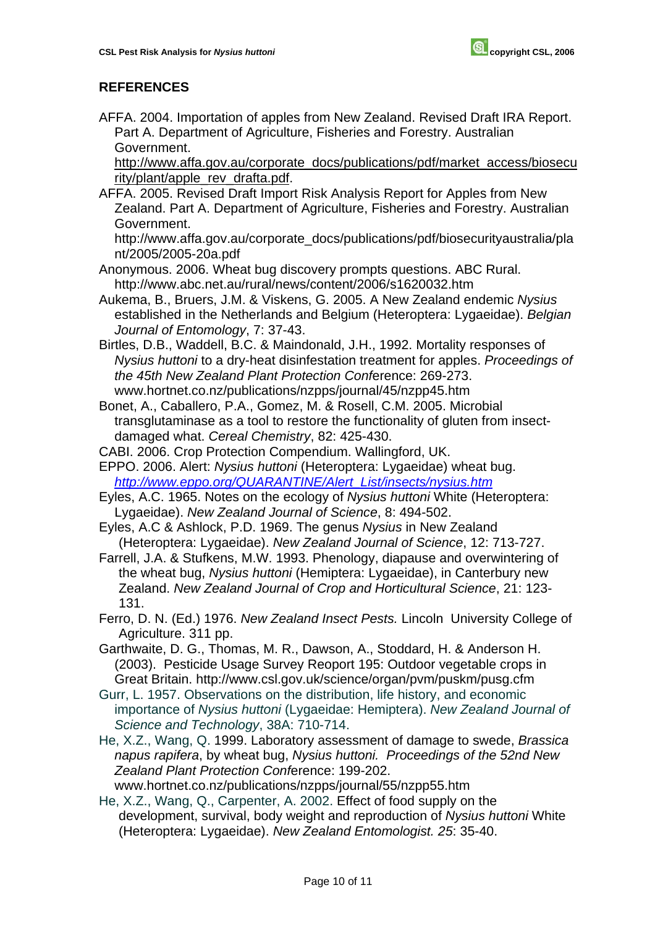## **REFERENCES**

AFFA. 2004. Importation of apples from New Zealand. Revised Draft IRA Report. Part A. Department of Agriculture, Fisheries and Forestry. Australian Government.

http://www.affa.gov.au/corporate\_docs/publications/pdf/market\_access/biosecu rity/plant/apple\_rev\_drafta.pdf.

AFFA. 2005. Revised Draft Import Risk Analysis Report for Apples from New Zealand. Part A. Department of Agriculture, Fisheries and Forestry. Australian Government.

http://www.affa.gov.au/corporate\_docs/publications/pdf/biosecurityaustralia/pla nt/2005/2005-20a.pdf

- Anonymous. 2006. Wheat bug discovery prompts questions. ABC Rural. http://www.abc.net.au/rural/news/content/2006/s1620032.htm
- Aukema, B., Bruers, J.M. & Viskens, G. 2005. A New Zealand endemic *Nysius*  established in the Netherlands and Belgium (Heteroptera: Lygaeidae). *Belgian Journal of Entomology*, 7: 37-43.
- Birtles, D.B., Waddell, B.C. & Maindonald, J.H., 1992. Mortality responses of *Nysius huttoni* to a dry-heat disinfestation treatment for apples. *Proceedings of the 45th New Zealand Plant Protection Conf*erence: 269-273. www.hortnet.co.nz/publications/nzpps/journal/45/nzpp45.htm
- Bonet, A., Caballero, P.A., Gomez, M. & Rosell, C.M. 2005. Microbial transglutaminase as a tool to restore the functionality of gluten from insectdamaged what. *Cereal Chemistry*, 82: 425-430.
- CABI. 2006. Crop Protection Compendium. Wallingford, UK.
- EPPO. 2006. Alert: *Nysius huttoni* (Heteroptera: Lygaeidae) wheat bug. *[http://www.eppo.org/QUARANTINE/Alert\\_List/insects/nysius.htm](http://www.eppo.org/QUARANTINE/Alert_List/insects/nysius.htm)*
- Eyles, A.C. 1965. Notes on the ecology of *Nysius huttoni* White (Heteroptera: Lygaeidae). *New Zealand Journal of Science*, 8: 494-502.
- Eyles, A.C & Ashlock, P.D. 1969. The genus *Nysius* in New Zealand (Heteroptera: Lygaeidae). *New Zealand Journal of Science*, 12: 713-727.
- Farrell, J.A. & Stufkens, M.W. 1993. Phenology, diapause and overwintering of the wheat bug, *Nysius huttoni* (Hemiptera: Lygaeidae), in Canterbury new Zealand. *New Zealand Journal of Crop and Horticultural Science*, 21: 123- 131.
- Ferro, D. N. (Ed.) 1976. *New Zealand Insect Pests.* Lincoln University College of Agriculture. 311 pp.
- Garthwaite, D. G., Thomas, M. R., Dawson, A., Stoddard, H. & Anderson H. (2003). Pesticide Usage Survey Reoport 195: Outdoor vegetable crops in Great Britain. http://www.csl.gov.uk/science/organ/pvm/puskm/pusg.cfm
- Gurr, L. 1957. Observations on the distribution, life history, and economic importance of *Nysius huttoni* (Lygaeidae: Hemiptera). *New Zealand Journal of Science and Technology*, 38A: 710-714.
- He, X.Z., Wang, Q. 1999. Laboratory assessment of damage to swede, *Brassica napus rapifera*, by wheat bug, *Nysius huttoni. Proceedings of the 52nd New Zealand Plant Protection Conf*erence: 199-202. www.hortnet.co.nz/publications/nzpps/journal/55/nzpp55.htm
- He, X.Z., Wang, Q., Carpenter, A. 2002. Effect of food supply on the development, survival, body weight and reproduction of *Nysius huttoni* White (Heteroptera: Lygaeidae). *New Zealand Entomologist. 25*: 35-40.